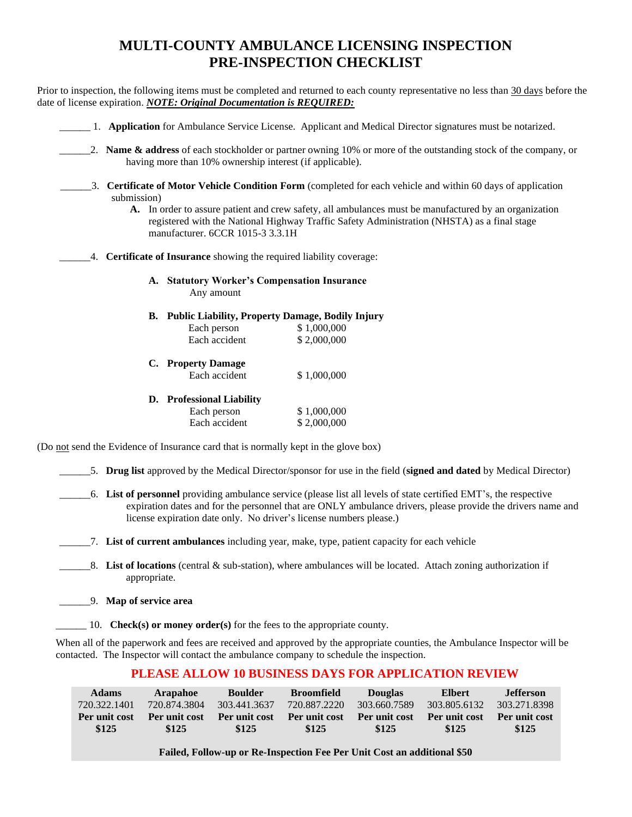# **MULTI-COUNTY AMBULANCE LICENSING INSPECTION PRE-INSPECTION CHECKLIST**

Prior to inspection, the following items must be completed and returned to each county representative no less than 30 days before the date of license expiration. *NOTE: Original Documentation is REQUIRED:*

|                                                                                     | 1. <b>Application</b> for Ambulance Service License. Applicant and Medical Director signatures must be notarized.                                                                                                                                                                                                    |
|-------------------------------------------------------------------------------------|----------------------------------------------------------------------------------------------------------------------------------------------------------------------------------------------------------------------------------------------------------------------------------------------------------------------|
| having more than 10% ownership interest (if applicable).                            | 2. Name $\&$ address of each stockholder or partner owning 10% or more of the outstanding stock of the company, or                                                                                                                                                                                                   |
| submission)                                                                         | 3. Certificate of Motor Vehicle Condition Form (completed for each vehicle and within 60 days of application<br>A. In order to assure patient and crew safety, all ambulances must be manufactured by an organization<br>registered with the National Highway Traffic Safety Administration (NHSTA) as a final stage |
| manufacturer. 6CCR 1015-3 3.3.1H                                                    |                                                                                                                                                                                                                                                                                                                      |
| 4. Certificate of Insurance showing the required liability coverage:                |                                                                                                                                                                                                                                                                                                                      |
| A. Statutory Worker's Compensation Insurance<br>Any amount                          |                                                                                                                                                                                                                                                                                                                      |
| B. Public Liability, Property Damage, Bodily Injury                                 |                                                                                                                                                                                                                                                                                                                      |
| Each person                                                                         | \$1,000,000                                                                                                                                                                                                                                                                                                          |
| Each accident                                                                       | \$2,000,000                                                                                                                                                                                                                                                                                                          |
| C. Property Damage                                                                  |                                                                                                                                                                                                                                                                                                                      |
| Each accident                                                                       | \$1,000,000                                                                                                                                                                                                                                                                                                          |
| D. Professional Liability                                                           |                                                                                                                                                                                                                                                                                                                      |
| Each person                                                                         | \$1,000,000                                                                                                                                                                                                                                                                                                          |
| Each accident                                                                       | \$2,000,000                                                                                                                                                                                                                                                                                                          |
| (Do not send the Evidence of Insurance card that is normally kept in the glove box) |                                                                                                                                                                                                                                                                                                                      |

\_\_\_\_\_\_5. **Drug list** approved by the Medical Director/sponsor for use in the field (**signed and dated** by Medical Director)

\_\_\_\_\_\_6. **List of personnel** providing ambulance service (please list all levels of state certified EMT's, the respective expiration dates and for the personnel that are ONLY ambulance drivers, please provide the drivers name and license expiration date only. No driver's license numbers please.)

\_\_\_\_\_\_7. **List of current ambulances** including year, make, type, patient capacity for each vehicle

\_\_\_\_\_\_8. **List of locations** (central & sub-station), where ambulances will be located. Attach zoning authorization if appropriate.

\_\_\_\_\_\_9. **Map of service area**

\_\_\_\_\_\_ 10. **Check(s) or money order(s)** for the fees to the appropriate county.

When all of the paperwork and fees are received and approved by the appropriate counties, the Ambulance Inspector will be contacted. The Inspector will contact the ambulance company to schedule the inspection.

### **PLEASE ALLOW 10 BUSINESS DAYS FOR APPLICATION REVIEW**

| <b>Adams</b>  | <b>Arapahoe</b> | <b>Boulder</b> | <b>Broomfield</b> | <b>Douglas</b> | <b>Elbert</b> | <b>Jefferson</b> |
|---------------|-----------------|----------------|-------------------|----------------|---------------|------------------|
| 720.322.1401  | 720.874.3804    | 303.441.3637   | 720.887.2220      | 303.660.7589   | 303.805.6132  | 303.271.8398     |
| Per unit cost | Per unit cost   | Per unit cost  | Per unit cost     | Per unit cost  | Per unit cost | Per unit cost    |
| \$125         | \$125           | \$125          | \$125             | \$125          | \$125         | \$125            |

**Failed, Follow-up or Re-Inspection Fee Per Unit Cost an additional \$50**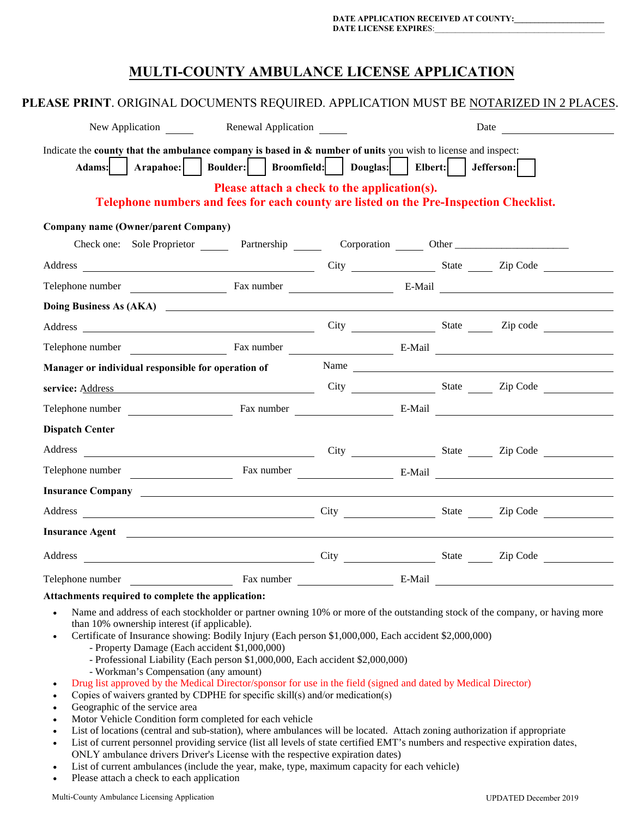## **MULTI-COUNTY AMBULANCE LICENSE APPLICATION**

| PLEASE PRINT. ORIGINAL DOCUMENTS REQUIRED. APPLICATION MUST BE NOTARIZED IN 2 PLACES.                                                                                                                                                |                                              |  |                                                                                                                                                                                                                                |
|--------------------------------------------------------------------------------------------------------------------------------------------------------------------------------------------------------------------------------------|----------------------------------------------|--|--------------------------------------------------------------------------------------------------------------------------------------------------------------------------------------------------------------------------------|
| New Application <b>Exercise 2</b> Renewal Application                                                                                                                                                                                |                                              |  | Date and the state of the state of the state of the state of the state of the state of the state of the state of the state of the state of the state of the state of the state of the state of the state of the state of the s |
| Indicate the county that the ambulance company is based in $\&$ number of units you wish to license and inspect:<br>Adams: Arapahoe: Boulder: Broomfield: Douglas: Elbert: Jefferson:                                                | Please attach a check to the application(s). |  |                                                                                                                                                                                                                                |
| Telephone numbers and fees for each county are listed on the Pre-Inspection Checklist.                                                                                                                                               |                                              |  |                                                                                                                                                                                                                                |
| Company name (Owner/parent Company)                                                                                                                                                                                                  |                                              |  |                                                                                                                                                                                                                                |
| Check one: Sole Proprietor Partnership Corporation Other Check one: Sole Proprietor                                                                                                                                                  |                                              |  |                                                                                                                                                                                                                                |
| Address City City State Zip Code                                                                                                                                                                                                     |                                              |  |                                                                                                                                                                                                                                |
|                                                                                                                                                                                                                                      |                                              |  |                                                                                                                                                                                                                                |
|                                                                                                                                                                                                                                      |                                              |  |                                                                                                                                                                                                                                |
|                                                                                                                                                                                                                                      |                                              |  |                                                                                                                                                                                                                                |
|                                                                                                                                                                                                                                      |                                              |  |                                                                                                                                                                                                                                |
| Manager or individual responsible for operation of                                                                                                                                                                                   |                                              |  | Name                                                                                                                                                                                                                           |
|                                                                                                                                                                                                                                      |                                              |  |                                                                                                                                                                                                                                |
| Telephone number <b>E-Mail</b> E-Mail <b>E-Mail</b>                                                                                                                                                                                  |                                              |  |                                                                                                                                                                                                                                |
| <b>Dispatch Center</b>                                                                                                                                                                                                               |                                              |  |                                                                                                                                                                                                                                |
|                                                                                                                                                                                                                                      |                                              |  |                                                                                                                                                                                                                                |
| Telephone number                                                                                                                                                                                                                     |                                              |  |                                                                                                                                                                                                                                |
| Insurance Company <u>and a series of the series of the series of the series of the series of the series of the series of the series of the series of the series of the series of the series of the series of the series of the s</u> |                                              |  |                                                                                                                                                                                                                                |
| Address City City State Zip Code                                                                                                                                                                                                     |                                              |  |                                                                                                                                                                                                                                |
| Insurance Agent and the contract of the contract of the contract of the contract of the contract of the contract of the contract of the contract of the contract of the contract of the contract of the contract of the contra       |                                              |  |                                                                                                                                                                                                                                |
|                                                                                                                                                                                                                                      |                                              |  |                                                                                                                                                                                                                                |
|                                                                                                                                                                                                                                      |                                              |  |                                                                                                                                                                                                                                |

#### **Attachments required to complete the application:**

- Name and address of each stockholder or partner owning 10% or more of the outstanding stock of the company, or having more than 10% ownership interest (if applicable).
- Certificate of Insurance showing: Bodily Injury (Each person \$1,000,000, Each accident \$2,000,000)
	- Property Damage (Each accident \$1,000,000)
	- Professional Liability (Each person \$1,000,000, Each accident \$2,000,000)
	- Workman's Compensation (any amount)
- Drug list approved by the Medical Director/sponsor for use in the field (signed and dated by Medical Director)
- Copies of waivers granted by CDPHE for specific skill(s) and/or medication(s)
- Geographic of the service area
- Motor Vehicle Condition form completed for each vehicle
- List of locations (central and sub-station), where ambulances will be located. Attach zoning authorization if appropriate
- List of current personnel providing service (list all levels of state certified EMT's numbers and respective expiration dates, ONLY ambulance drivers Driver's License with the respective expiration dates)
- List of current ambulances (include the year, make, type, maximum capacity for each vehicle)
- Please attach a check to each application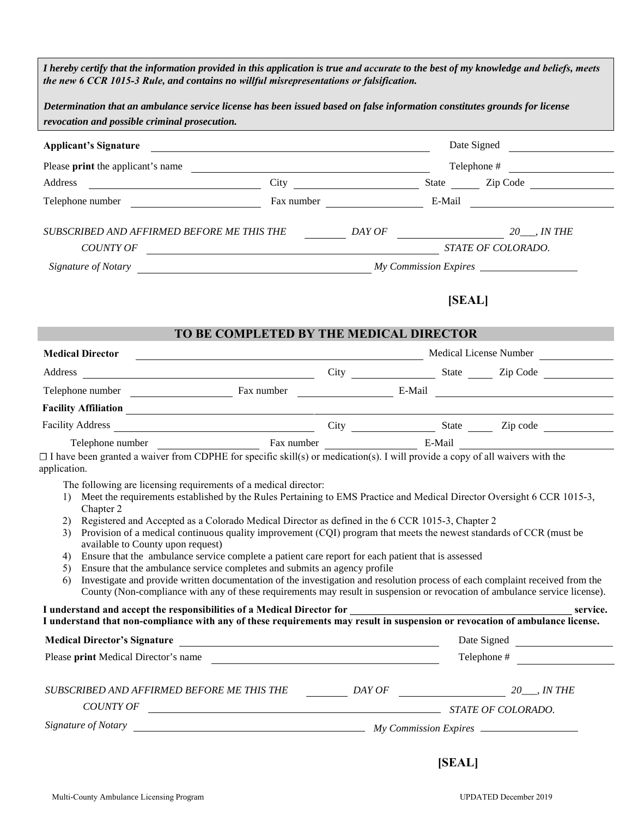| I hereby certify that the information provided in this application is true and accurate to the best of my knowledge and beliefs, meets<br>the new 6 CCR 1015-3 Rule, and contains no willful misrepresentations or falsification.                                                                                                                                                                                                                                                                                                                                                                                                                                                                                                                                                                                                                                                                    |                                                                                                                      |  |  |        |                        |  |
|------------------------------------------------------------------------------------------------------------------------------------------------------------------------------------------------------------------------------------------------------------------------------------------------------------------------------------------------------------------------------------------------------------------------------------------------------------------------------------------------------------------------------------------------------------------------------------------------------------------------------------------------------------------------------------------------------------------------------------------------------------------------------------------------------------------------------------------------------------------------------------------------------|----------------------------------------------------------------------------------------------------------------------|--|--|--------|------------------------|--|
| Determination that an ambulance service license has been issued based on false information constitutes grounds for license                                                                                                                                                                                                                                                                                                                                                                                                                                                                                                                                                                                                                                                                                                                                                                           |                                                                                                                      |  |  |        |                        |  |
| revocation and possible criminal prosecution.                                                                                                                                                                                                                                                                                                                                                                                                                                                                                                                                                                                                                                                                                                                                                                                                                                                        |                                                                                                                      |  |  |        |                        |  |
| <b>Applicant's Signature</b>                                                                                                                                                                                                                                                                                                                                                                                                                                                                                                                                                                                                                                                                                                                                                                                                                                                                         | <u> Alexandria de la contrada de la contrada de la contrada de la contrada de la contrada de la contrada de la c</u> |  |  |        | Date Signed            |  |
| Please print the applicant's name                                                                                                                                                                                                                                                                                                                                                                                                                                                                                                                                                                                                                                                                                                                                                                                                                                                                    | <u> 1980 - Johann Barn, fransk politik fotograf (d. 1980)</u>                                                        |  |  |        | Telephone #            |  |
|                                                                                                                                                                                                                                                                                                                                                                                                                                                                                                                                                                                                                                                                                                                                                                                                                                                                                                      |                                                                                                                      |  |  |        |                        |  |
|                                                                                                                                                                                                                                                                                                                                                                                                                                                                                                                                                                                                                                                                                                                                                                                                                                                                                                      |                                                                                                                      |  |  |        |                        |  |
| $\begin{tabular}{c} \textit{COUNTY OF} \\ \hline \end{tabular} \begin{tabular}{c} \textit{COUNITY OF} \end{tabular}$                                                                                                                                                                                                                                                                                                                                                                                                                                                                                                                                                                                                                                                                                                                                                                                 |                                                                                                                      |  |  |        |                        |  |
| Signature of Notary Notary 2008 and 2009 My Commission Expires                                                                                                                                                                                                                                                                                                                                                                                                                                                                                                                                                                                                                                                                                                                                                                                                                                       |                                                                                                                      |  |  |        |                        |  |
|                                                                                                                                                                                                                                                                                                                                                                                                                                                                                                                                                                                                                                                                                                                                                                                                                                                                                                      |                                                                                                                      |  |  | [SEAL] |                        |  |
|                                                                                                                                                                                                                                                                                                                                                                                                                                                                                                                                                                                                                                                                                                                                                                                                                                                                                                      | TO BE COMPLETED BY THE MEDICAL DIRECTOR                                                                              |  |  |        |                        |  |
| <b>Medical Director</b>                                                                                                                                                                                                                                                                                                                                                                                                                                                                                                                                                                                                                                                                                                                                                                                                                                                                              |                                                                                                                      |  |  |        | Medical License Number |  |
|                                                                                                                                                                                                                                                                                                                                                                                                                                                                                                                                                                                                                                                                                                                                                                                                                                                                                                      |                                                                                                                      |  |  |        |                        |  |
|                                                                                                                                                                                                                                                                                                                                                                                                                                                                                                                                                                                                                                                                                                                                                                                                                                                                                                      |                                                                                                                      |  |  |        |                        |  |
|                                                                                                                                                                                                                                                                                                                                                                                                                                                                                                                                                                                                                                                                                                                                                                                                                                                                                                      |                                                                                                                      |  |  |        |                        |  |
|                                                                                                                                                                                                                                                                                                                                                                                                                                                                                                                                                                                                                                                                                                                                                                                                                                                                                                      |                                                                                                                      |  |  |        |                        |  |
| Telephone number <b>E-Mail</b> Fax number <b>E-Mail</b><br>$\Box$ I have been granted a waiver from CDPHE for specific skill(s) or medication(s). I will provide a copy of all waivers with the<br>application.<br>The following are licensing requirements of a medical director:                                                                                                                                                                                                                                                                                                                                                                                                                                                                                                                                                                                                                   |                                                                                                                      |  |  |        |                        |  |
| Meet the requirements established by the Rules Pertaining to EMS Practice and Medical Director Oversight 6 CCR 1015-3,<br>$\mathbf{D}$<br>Chapter 2<br>Registered and Accepted as a Colorado Medical Director as defined in the 6 CCR 1015-3, Chapter 2<br>2)<br>Provision of a medical continuous quality improvement (CQI) program that meets the newest standards of CCR (must be<br>3)<br>available to County upon request)<br>Ensure that the ambulance service complete a patient care report for each patient that is assessed<br>4)<br>Ensure that the ambulance service completes and submits an agency profile<br>5)<br>Investigate and provide written documentation of the investigation and resolution process of each complaint received from the<br>6)<br>County (Non-compliance with any of these requirements may result in suspension or revocation of ambulance service license). |                                                                                                                      |  |  |        |                        |  |
| I understand and accept the responsibilities of a Medical Director for<br>I understand that non-compliance with any of these requirements may result in suspension or revocation of ambulance license.                                                                                                                                                                                                                                                                                                                                                                                                                                                                                                                                                                                                                                                                                               |                                                                                                                      |  |  |        | service.               |  |
|                                                                                                                                                                                                                                                                                                                                                                                                                                                                                                                                                                                                                                                                                                                                                                                                                                                                                                      |                                                                                                                      |  |  |        | Date Signed            |  |
| Please print Medical Director's name                                                                                                                                                                                                                                                                                                                                                                                                                                                                                                                                                                                                                                                                                                                                                                                                                                                                 |                                                                                                                      |  |  |        | Telephone #            |  |
| SUBSCRIBED AND AFFIRMED BEFORE ME THIS THE $\qquad \qquad$ DAY OF $\qquad \qquad$ 20___, IN THE<br>$\begin{tabular}{c} \textit{COUNTY OF} \\ \hline \end{tabular} \begin{tabular}{c} \textit{COUNITY OF} \end{tabular}$                                                                                                                                                                                                                                                                                                                                                                                                                                                                                                                                                                                                                                                                              |                                                                                                                      |  |  |        |                        |  |
|                                                                                                                                                                                                                                                                                                                                                                                                                                                                                                                                                                                                                                                                                                                                                                                                                                                                                                      |                                                                                                                      |  |  |        |                        |  |